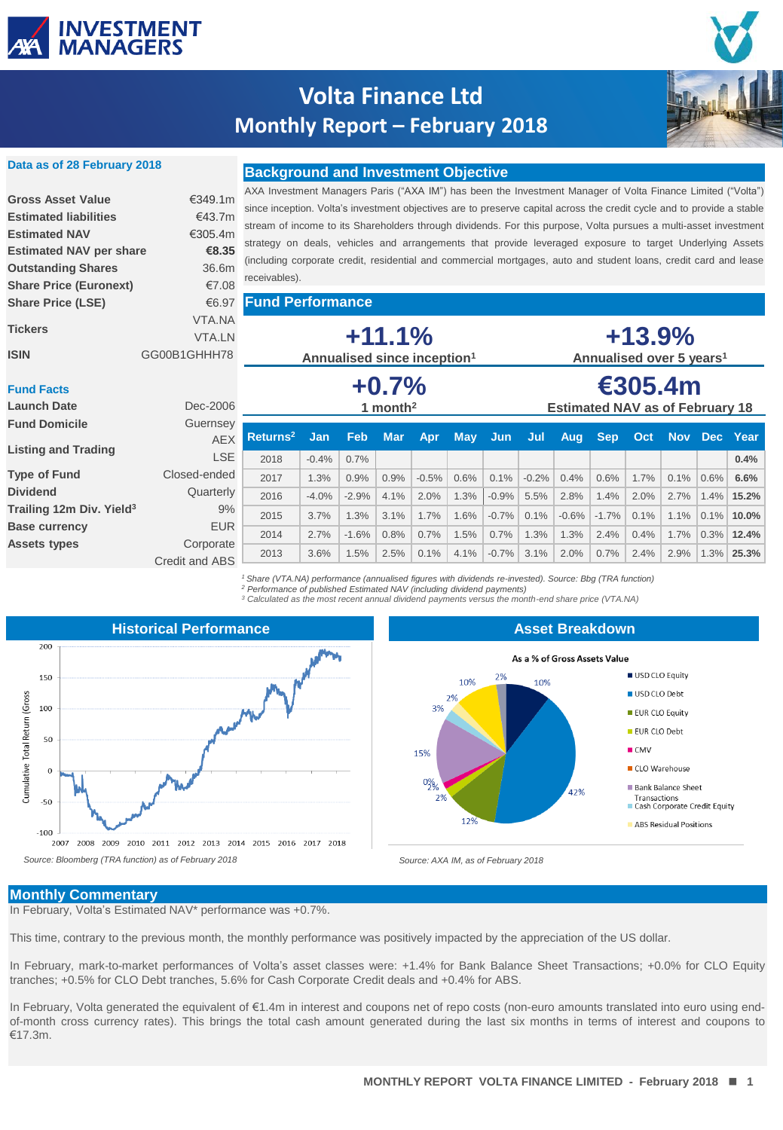

**Data as of 28 February 2018**

## **Volta Finance Ltd Monthly Report – February 2018**



### **Background and Investment Objective**

| <b>Gross Asset Value</b>       | €349.1m       |
|--------------------------------|---------------|
| <b>Estimated liabilities</b>   | €43.7m        |
| <b>Estimated NAV</b>           | €305.4m       |
| <b>Estimated NAV per share</b> | €8.35         |
| <b>Outstanding Shares</b>      | 36.6m         |
| <b>Share Price (Euronext)</b>  | €7.08         |
| <b>Share Price (LSE)</b>       | €6.97         |
|                                | VTA.NA        |
| <b>Tickers</b>                 | <b>VTA IN</b> |
| ISIN                           | GG00B1GHHH78  |

AXA Investment Managers Paris ("AXA IM") has been the Investment Manager of Volta Finance Limited ("Volta") since inception. Volta's investment objectives are to preserve capital across the credit cycle and to provide a stable stream of income to its Shareholders through dividends. For this purpose, Volta pursues a multi-asset investment strategy on deals, vehicles and arrangements that provide leveraged exposure to target Underlying Assets (including corporate credit, residential and commercial mortgages, auto and student loans, credit card and lease receivables).

**Fund Performance**

| <b>Tickers</b><br><b>ISIN</b>        | VTA.NA<br><b>VTA.LN</b><br>GG00B1GHHH78 | $+11.1%$<br>Annualised since inception <sup>1</sup> |         |            |            |                                        |            | $+13.9%$<br>Annualised over 5 years <sup>1</sup> |         |         |            |      |            |      |          |
|--------------------------------------|-----------------------------------------|-----------------------------------------------------|---------|------------|------------|----------------------------------------|------------|--------------------------------------------------|---------|---------|------------|------|------------|------|----------|
| <b>Fund Facts</b>                    |                                         | $+0.7%$                                             |         |            |            |                                        | €305.4m    |                                                  |         |         |            |      |            |      |          |
| <b>Launch Date</b>                   | Dec-2006                                | 1 month <sup>2</sup>                                |         |            |            | <b>Estimated NAV as of February 18</b> |            |                                                  |         |         |            |      |            |      |          |
| <b>Fund Domicile</b>                 | Guernsey                                |                                                     |         |            |            |                                        |            |                                                  |         |         |            |      |            |      |          |
|                                      | <b>AEX</b>                              | Returns <sup>2</sup>                                | Jan     | <b>Feb</b> | <b>Mar</b> | Apr                                    | <b>May</b> | <b>Jun</b>                                       | Jul     | Aug     | <b>Sep</b> | Oct  | <b>Nov</b> |      | Dec Year |
| <b>Listing and Trading</b>           | <b>LSE</b>                              | 2018                                                | $-0.4%$ | 0.7%       |            |                                        |            |                                                  |         |         |            |      |            |      | 0.4%     |
| <b>Type of Fund</b>                  | Closed-ended                            | 2017                                                | 1.3%    | 0.9%       | 0.9%       | $-0.5%$                                | 0.6%       | 0.1%                                             | $-0.2%$ | 0.4%    | 0.6%       | 1.7% | 0.1%       | 0.6% | 6.6%     |
| <b>Dividend</b>                      | Quarterly                               | 2016                                                | $-4.0%$ | $-2.9%$    | 4.1%       | 2.0%                                   | 1.3%       | $-0.9%$                                          | 5.5%    | 2.8%    | 1.4%       | 2.0% | 2.7%       | 1.4% | 15.2%    |
| Trailing 12m Div. Yield <sup>3</sup> | 9%                                      | 2015                                                | 3.7%    | 1.3%       | 3.1%       | 1.7%                                   | 1.6%       | $-0.7%$                                          | 0.1%    | $-0.6%$ | $-1.7%$    | 0.1% | 1.1%       | 0.1% | 10.0%    |
| <b>Base currency</b>                 | <b>EUR</b>                              |                                                     |         |            |            |                                        |            |                                                  |         |         |            |      |            |      |          |
| <b>Assets types</b>                  | Corporate                               | 2014                                                | 2.7%    | $-1.6%$    | 0.8%       | 0.7%                                   | 1.5%       | 0.7%                                             | 1.3%    | 1.3%    | 2.4%       | 0.4% | 1.7%       | 0.3% | 12.4%    |
|                                      | Credit and ABS                          | 2013                                                | 3.6%    | 1.5%       | 2.5%       | 0.1%                                   | 4.1%       | $-0.7%$                                          | 3.1%    | 2.0%    | 0.7%       | 2.4% | 2.9%       | 1.3% | 25.3%    |

*<sup>1</sup> Share (VTA.NA) performance (annualised figures with dividends re-invested). Source: Bbg (TRA function)* <sup>2</sup> Performance of published Estimated NAV (including dividend payments)<br><sup>3</sup> Calculated as the most recent annual dividend payments versus the month-end share price (VTA.NA)



#### **Asset Breakdown**



#### **Monthly Commentary**

In February, Volta's Estimated NAV\* performance was +0.7%.

This time, contrary to the previous month, the monthly performance was positively impacted by the appreciation of the US dollar.

In February, mark-to-market performances of Volta's asset classes were: +1.4% for Bank Balance Sheet Transactions; +0.0% for CLO Equity tranches; +0.5% for CLO Debt tranches, 5.6% for Cash Corporate Credit deals and +0.4% for ABS.

In February, Volta generated the equivalent of €1.4m in interest and coupons net of repo costs (non-euro amounts translated into euro using endof-month cross currency rates). This brings the total cash amount generated during the last six months in terms of interest and coupons to €17.3m.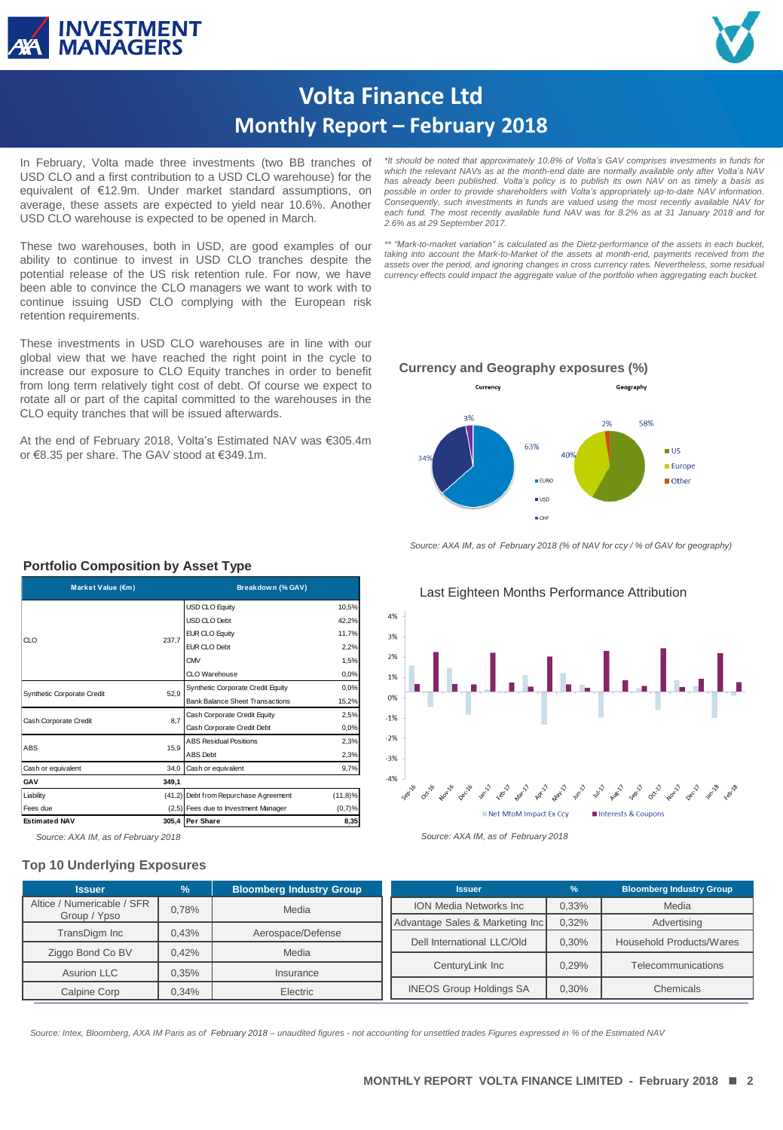



# **Volta Finance Ltd Monthly Report – February 2018**

In February, Volta made three investments (two BB tranches of USD CLO and a first contribution to a USD CLO warehouse) for the equivalent of €12.9m. Under market standard assumptions, on average, these assets are expected to yield near 10.6%. Another USD CLO warehouse is expected to be opened in March.

These two warehouses, both in USD, are good examples of our ability to continue to invest in USD CLO tranches despite the potential release of the US risk retention rule. For now, we have been able to convince the CLO managers we want to work with to continue issuing USD CLO complying with the European risk retention requirements.

These investments in USD CLO warehouses are in line with our global view that we have reached the right point in the cycle to increase our exposure to CLO Equity tranches in order to benefit from long term relatively tight cost of debt. Of course we expect to rotate all or part of the capital committed to the warehouses in the CLO equity tranches that will be issued afterwards.

At the end of February 2018, Volta's Estimated NAV was €305.4m or €8.35 per share. The GAV stood at €349.1m.

*\*It should be noted that approximately 10.8% of Volta's GAV comprises investments in funds for which the relevant NAVs as at the month-end date are normally available only after Volta's NAV has already been published. Volta's policy is to publish its own NAV on as timely a basis as possible in order to provide shareholders with Volta's appropriately up-to-date NAV information. Consequently, such investments in funds are valued using the most recently available NAV for* each fund. The most recently available fund NAV was for 8.2% as at 31 January 2018 and for<br>2.6% as at 29 September 2017.

*\*\* "Mark-to-market variation" is calculated as the Dietz-performance of the assets in each bucket, taking into account the Mark-to-Market of the assets at month-end, payments received from the* assets over the period, and ignoring changes in cross currency rates. Nevertheless, some residual<br>currency effects could impact the aggregate value of the portfolio when aggregating each bucket.

#### **Currency and Geography exposures (%)**



*Source: AXA IM, as of February 2018 (% of NAV for ccy / % of GAV for geography)*



### **Portfolio Composition by Asset Type**

| Market Value (€m)          |       | Breakdown (% GAV)                      |            |  |  |
|----------------------------|-------|----------------------------------------|------------|--|--|
|                            |       | <b>USD CLO Equity</b>                  | 10,5%      |  |  |
| CLO                        |       | USD CLO Debt                           | 42,2%      |  |  |
|                            | 237,7 | <b>EUR CLO Equity</b>                  | 11,7%      |  |  |
|                            |       | EUR CLO Debt                           | 2,2%       |  |  |
|                            |       | CMV                                    | 1,5%       |  |  |
|                            |       | CLO Warehouse                          | 0,0%       |  |  |
| Synthetic Corporate Credit | 52,9  | Synthetic Corporate Credit Equity      | 0,0%       |  |  |
|                            |       | <b>Bank Balance Sheet Transactions</b> | 15,2%      |  |  |
| Cash Corporate Credit      | 8,7   | Cash Corporate Credit Equity           | 2,5%       |  |  |
|                            |       | Cash Corporate Credit Debt             | 0,0%       |  |  |
| <b>ABS</b>                 | 15,9  | <b>ABS Residual Positions</b>          | 2,3%       |  |  |
|                            |       | ABS Debt                               | 2,3%       |  |  |
| Cash or equivalent         | 34,0  | Cash or equivalent                     | 9,7%       |  |  |
| GAV                        | 349,1 |                                        |            |  |  |
| Liability                  |       | (41,2) Debt from Repurchase Agreement  | $(11,8)\%$ |  |  |
| Fees due                   |       | (2,5) Fees due to Investment Manager   | $(0,7)$ %  |  |  |
| <b>Estimated NAV</b>       |       | 305,4 Per Share                        | 8,35       |  |  |

#### **Top 10 Underlying Exposures**

**Issuer % Bloomberg Industry Group** Altice / Numericable / SFR Group / Ypso 0,78% Media TransDigm Inc | 0,43% | Aerospace/Defense Ziggo Bond Co BV | 0,42% | Media Asurion LLC 1 0,35% Insurance Calpine Corp 0,34% Electric **Issuer % Bloomberg Industry Group** ION Media Networks Inc | 0,33% | Media Advantage Sales & Marketing Inc 0,32% Advertising Dell International LLC/Old | 0,30% | Household Products/Wares CenturyLink Inc  $\parallel$  0.29% Telecommunications INEOS Group Holdings SA | 0,30% | Chemicals

**RESTRICTED** *Source: Intex, Bloomberg, AXA IM Paris as of February 2018 – unaudited figures - not accounting for unsettled trades Figures expressed in % of the Estimated NAV*